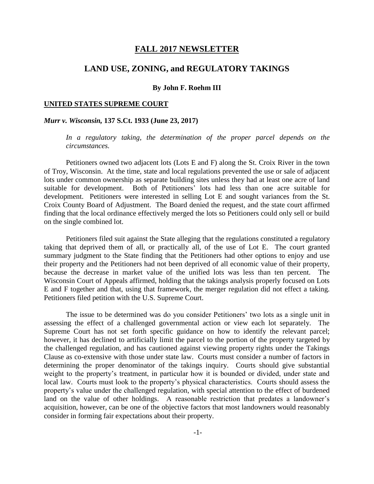## **FALL 2017 NEWSLETTER**

# **LAND USE, ZONING, and REGULATORY TAKINGS**

## **By John F. Roehm III**

#### **UNITED STATES SUPREME COURT**

#### *Murr v. Wisconsin,* **137 S.Ct. 1933 (June 23, 2017)**

In a regulatory taking, the determination of the proper parcel depends on the *circumstances.*

Petitioners owned two adjacent lots (Lots E and F) along the St. Croix River in the town of Troy, Wisconsin. At the time, state and local regulations prevented the use or sale of adjacent lots under common ownership as separate building sites unless they had at least one acre of land suitable for development. Both of Petitioners' lots had less than one acre suitable for development. Petitioners were interested in selling Lot E and sought variances from the St. Croix County Board of Adjustment. The Board denied the request, and the state court affirmed finding that the local ordinance effectively merged the lots so Petitioners could only sell or build on the single combined lot.

Petitioners filed suit against the State alleging that the regulations constituted a regulatory taking that deprived them of all, or practically all, of the use of Lot E. The court granted summary judgment to the State finding that the Petitioners had other options to enjoy and use their property and the Petitioners had not been deprived of all economic value of their property, because the decrease in market value of the unified lots was less than ten percent. The Wisconsin Court of Appeals affirmed, holding that the takings analysis properly focused on Lots E and F together and that, using that framework, the merger regulation did not effect a taking. Petitioners filed petition with the U.S. Supreme Court.

The issue to be determined was do you consider Petitioners' two lots as a single unit in assessing the effect of a challenged governmental action or view each lot separately. The Supreme Court has not set forth specific guidance on how to identify the relevant parcel; however, it has declined to artificially limit the parcel to the portion of the property targeted by the challenged regulation, and has cautioned against viewing property rights under the Takings Clause as co-extensive with those under state law. Courts must consider a number of factors in determining the proper denominator of the takings inquiry. Courts should give substantial weight to the property's treatment, in particular how it is bounded or divided, under state and local law. Courts must look to the property's physical characteristics. Courts should assess the property's value under the challenged regulation, with special attention to the effect of burdened land on the value of other holdings. A reasonable restriction that predates a landowner's acquisition, however, can be one of the objective factors that most landowners would reasonably consider in forming fair expectations about their property.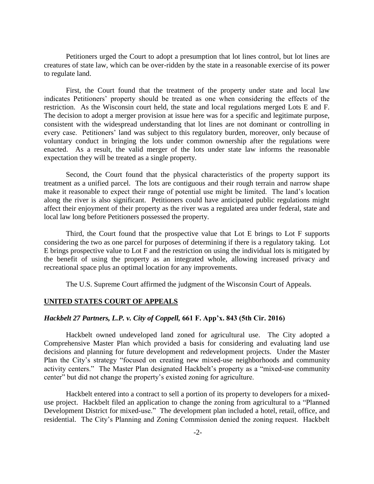Petitioners urged the Court to adopt a presumption that lot lines control, but lot lines are creatures of state law, which can be over-ridden by the state in a reasonable exercise of its power to regulate land.

First, the Court found that the treatment of the property under state and local law indicates Petitioners' property should be treated as one when considering the effects of the restriction. As the Wisconsin court held, the state and local regulations merged Lots E and F. The decision to adopt a merger provision at issue here was for a specific and legitimate purpose, consistent with the widespread understanding that lot lines are not dominant or controlling in every case. Petitioners' land was subject to this regulatory burden, moreover, only because of voluntary conduct in bringing the lots under common ownership after the regulations were enacted. As a result, the valid merger of the lots under state law informs the reasonable expectation they will be treated as a single property.

Second, the Court found that the physical characteristics of the property support its treatment as a unified parcel. The lots are contiguous and their rough terrain and narrow shape make it reasonable to expect their range of potential use might be limited. The land's location along the river is also significant. Petitioners could have anticipated public regulations might affect their enjoyment of their property as the river was a regulated area under federal, state and local law long before Petitioners possessed the property.

Third, the Court found that the prospective value that Lot E brings to Lot F supports considering the two as one parcel for purposes of determining if there is a regulatory taking. Lot E brings prospective value to Lot F and the restriction on using the individual lots is mitigated by the benefit of using the property as an integrated whole, allowing increased privacy and recreational space plus an optimal location for any improvements.

The U.S. Supreme Court affirmed the judgment of the Wisconsin Court of Appeals.

#### **UNITED STATES COURT OF APPEALS**

### *Hackbelt 27 Partners, L.P. v. City of Coppell,* **661 F. App'x. 843 (5th Cir. 2016)**

Hackbelt owned undeveloped land zoned for agricultural use. The City adopted a Comprehensive Master Plan which provided a basis for considering and evaluating land use decisions and planning for future development and redevelopment projects. Under the Master Plan the City's strategy "focused on creating new mixed-use neighborhoods and community activity centers." The Master Plan designated Hackbelt's property as a "mixed-use community center" but did not change the property's existed zoning for agriculture.

Hackbelt entered into a contract to sell a portion of its property to developers for a mixeduse project. Hackbelt filed an application to change the zoning from agricultural to a "Planned Development District for mixed-use." The development plan included a hotel, retail, office, and residential. The City's Planning and Zoning Commission denied the zoning request. Hackbelt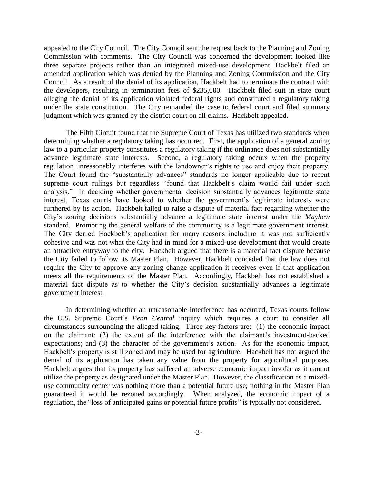appealed to the City Council. The City Council sent the request back to the Planning and Zoning Commission with comments. The City Council was concerned the development looked like three separate projects rather than an integrated mixed-use development. Hackbelt filed an amended application which was denied by the Planning and Zoning Commission and the City Council. As a result of the denial of its application, Hackbelt had to terminate the contract with the developers, resulting in termination fees of \$235,000. Hackbelt filed suit in state court alleging the denial of its application violated federal rights and constituted a regulatory taking under the state constitution. The City remanded the case to federal court and filed summary judgment which was granted by the district court on all claims. Hackbelt appealed.

The Fifth Circuit found that the Supreme Court of Texas has utilized two standards when determining whether a regulatory taking has occurred. First, the application of a general zoning law to a particular property constitutes a regulatory taking if the ordinance does not substantially advance legitimate state interests. Second, a regulatory taking occurs when the property regulation unreasonably interferes with the landowner's rights to use and enjoy their property. The Court found the "substantially advances" standards no longer applicable due to recent supreme court rulings but regardless "found that Hackbelt's claim would fail under such analysis." In deciding whether governmental decision substantially advances legitimate state interest, Texas courts have looked to whether the government's legitimate interests were furthered by its action. Hackbelt failed to raise a dispute of material fact regarding whether the City's zoning decisions substantially advance a legitimate state interest under the *Mayhew* standard. Promoting the general welfare of the community is a legitimate government interest. The City denied Hackbelt's application for many reasons including it was not sufficiently cohesive and was not what the City had in mind for a mixed-use development that would create an attractive entryway to the city. Hackbelt argued that there is a material fact dispute because the City failed to follow its Master Plan. However, Hackbelt conceded that the law does not require the City to approve any zoning change application it receives even if that application meets all the requirements of the Master Plan. Accordingly, Hackbelt has not established a material fact dispute as to whether the City's decision substantially advances a legitimate government interest.

In determining whether an unreasonable interference has occurred, Texas courts follow the U.S. Supreme Court's *Penn Central* inquiry which requires a court to consider all circumstances surrounding the alleged taking. Three key factors are: (1) the economic impact on the claimant; (2) the extent of the interference with the claimant's investment-backed expectations; and (3) the character of the government's action. As for the economic impact, Hackbelt's property is still zoned and may be used for agriculture. Hackbelt has not argued the denial of its application has taken any value from the property for agricultural purposes. Hackbelt argues that its property has suffered an adverse economic impact insofar as it cannot utilize the property as designated under the Master Plan. However, the classification as a mixeduse community center was nothing more than a potential future use; nothing in the Master Plan guaranteed it would be rezoned accordingly. When analyzed, the economic impact of a regulation, the "loss of anticipated gains or potential future profits" is typically not considered.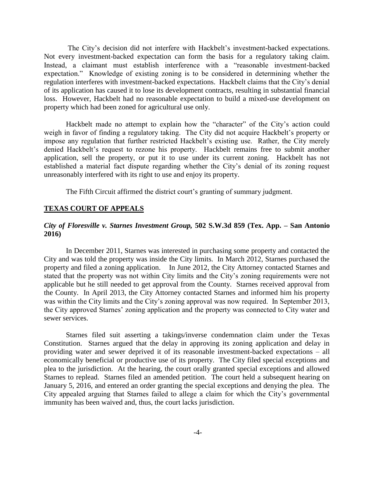The City's decision did not interfere with Hackbelt's investment-backed expectations. Not every investment-backed expectation can form the basis for a regulatory taking claim. Instead, a claimant must establish interference with a "reasonable investment-backed expectation." Knowledge of existing zoning is to be considered in determining whether the regulation interferes with investment-backed expectations. Hackbelt claims that the City's denial of its application has caused it to lose its development contracts, resulting in substantial financial loss. However, Hackbelt had no reasonable expectation to build a mixed-use development on property which had been zoned for agricultural use only.

Hackbelt made no attempt to explain how the "character" of the City's action could weigh in favor of finding a regulatory taking. The City did not acquire Hackbelt's property or impose any regulation that further restricted Hackbelt's existing use. Rather, the City merely denied Hackbelt's request to rezone his property. Hackbelt remains free to submit another application, sell the property, or put it to use under its current zoning. Hackbelt has not established a material fact dispute regarding whether the City's denial of its zoning request unreasonably interfered with its right to use and enjoy its property.

The Fifth Circuit affirmed the district court's granting of summary judgment.

## **TEXAS COURT OF APPEALS**

## *City of Floresville v. Starnes Investment Group,* **502 S.W.3d 859 (Tex. App. – San Antonio 2016)**

In December 2011, Starnes was interested in purchasing some property and contacted the City and was told the property was inside the City limits. In March 2012, Starnes purchased the property and filed a zoning application. In June 2012, the City Attorney contacted Starnes and stated that the property was not within City limits and the City's zoning requirements were not applicable but he still needed to get approval from the County. Starnes received approval from the County. In April 2013, the City Attorney contacted Starnes and informed him his property was within the City limits and the City's zoning approval was now required. In September 2013, the City approved Starnes' zoning application and the property was connected to City water and sewer services.

Starnes filed suit asserting a takings/inverse condemnation claim under the Texas Constitution. Starnes argued that the delay in approving its zoning application and delay in providing water and sewer deprived it of its reasonable investment-backed expectations – all economically beneficial or productive use of its property. The City filed special exceptions and plea to the jurisdiction. At the hearing, the court orally granted special exceptions and allowed Starnes to replead. Starnes filed an amended petition. The court held a subsequent hearing on January 5, 2016, and entered an order granting the special exceptions and denying the plea. The City appealed arguing that Starnes failed to allege a claim for which the City's governmental immunity has been waived and, thus, the court lacks jurisdiction.